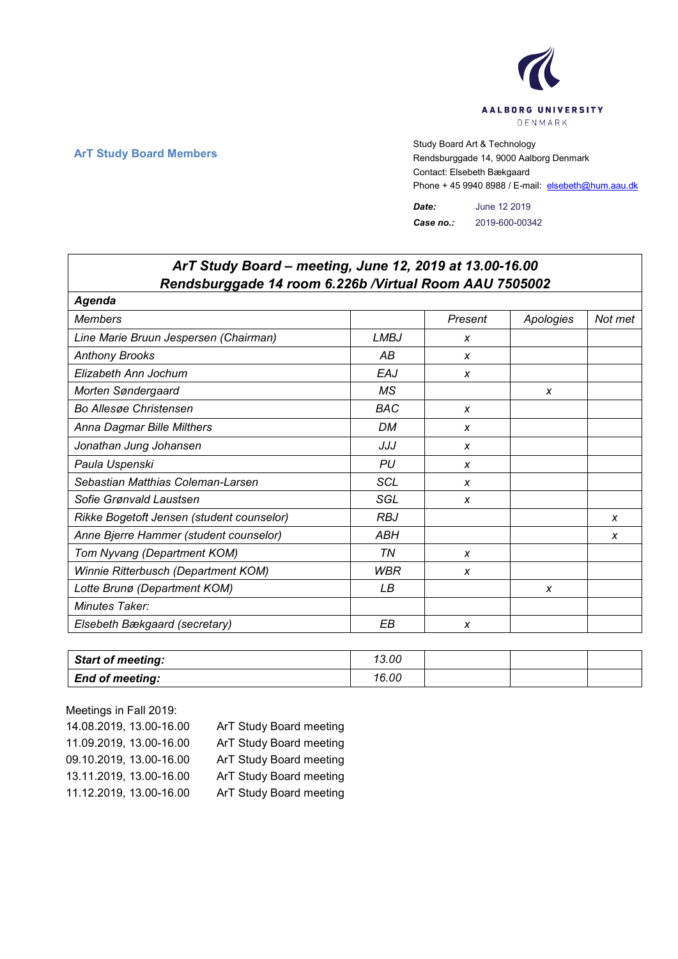

**ArT Study Board Members** Study Board Art & Technology **Art Study Board Art & Technology** Rendsburggade 14, 9000 Aalborg Denmark Contact: Elsebeth Bækgaard Phone + 45 9940 8988 / E-mail: elsebeth@hum.aau.dk

> *Date:* June 12 2019 *Case no.:* 2019-600-00342

| ArT Study Board - meeting, June 12, 2019 at 13.00-16.00 |             |                  |           |         |  |  |
|---------------------------------------------------------|-------------|------------------|-----------|---------|--|--|
| Rendsburggade 14 room 6.226b / Virtual Room AAU 7505002 |             |                  |           |         |  |  |
| Agenda                                                  |             |                  |           |         |  |  |
| <b>Members</b>                                          |             | Present          | Apologies | Not met |  |  |
| Line Marie Bruun Jespersen (Chairman)                   | <b>LMBJ</b> | X                |           |         |  |  |
| <b>Anthony Brooks</b>                                   | AB          | X                |           |         |  |  |
| Elizabeth Ann Jochum                                    | EAJ         | $\boldsymbol{x}$ |           |         |  |  |
| Morten Søndergaard                                      | МS          |                  | X         |         |  |  |
| <b>Bo Allesge Christensen</b>                           | <b>BAC</b>  | X                |           |         |  |  |
| Anna Dagmar Bille Milthers                              | <b>DM</b>   | X                |           |         |  |  |
| Jonathan Jung Johansen                                  | JJJ         | X                |           |         |  |  |
| Paula Uspenski                                          | PU          | $\boldsymbol{x}$ |           |         |  |  |
| Sebastian Matthias Coleman-Larsen                       | <b>SCL</b>  | $\boldsymbol{x}$ |           |         |  |  |
| Sofie Grønvald Laustsen                                 | SGL         | X                |           |         |  |  |
| Rikke Bogetoft Jensen (student counselor)               | <b>RBJ</b>  |                  |           | X       |  |  |
| Anne Bjerre Hammer (student counselor)                  | ABH         |                  |           | x       |  |  |
| Tom Nyvang (Department KOM)                             | ΤN          | X                |           |         |  |  |
| Winnie Ritterbusch (Department KOM)                     | <b>WBR</b>  | $\boldsymbol{x}$ |           |         |  |  |
| Lotte Brunø (Department KOM)                            | LВ          |                  | X         |         |  |  |
| Minutes Taker:                                          |             |                  |           |         |  |  |
| Elsebeth Bækgaard (secretary)                           | EВ          | X                |           |         |  |  |

| <b>Start of meeting:</b> | 13.00 |  |  |
|--------------------------|-------|--|--|
| <b>End of meeting:</b>   | 16.00 |  |  |

Meetings in Fall 2019: 14.08.2019, 13.00-16.00 ArT Study Board meeting 11.09.2019, 13.00-16.00 ArT Study Board meeting 09.10.2019, 13.00-16.00 ArT Study Board meeting 13.11.2019, 13.00-16.00 ArT Study Board meeting 11.12.2019, 13.00-16.00 ArT Study Board meeting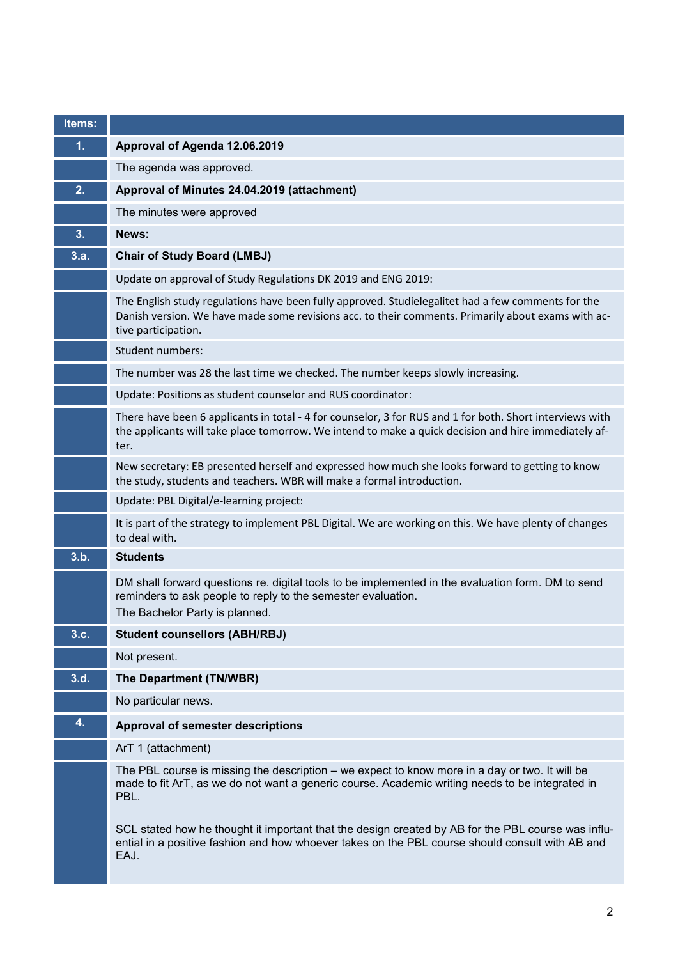| Items: |                                                                                                                                                                                                                                 |
|--------|---------------------------------------------------------------------------------------------------------------------------------------------------------------------------------------------------------------------------------|
| 1.     | Approval of Agenda 12.06.2019                                                                                                                                                                                                   |
|        | The agenda was approved.                                                                                                                                                                                                        |
| 2.     | Approval of Minutes 24.04.2019 (attachment)                                                                                                                                                                                     |
|        | The minutes were approved                                                                                                                                                                                                       |
| 3.     | News:                                                                                                                                                                                                                           |
| 3.a.   | <b>Chair of Study Board (LMBJ)</b>                                                                                                                                                                                              |
|        | Update on approval of Study Regulations DK 2019 and ENG 2019:                                                                                                                                                                   |
|        | The English study regulations have been fully approved. Studielegalitet had a few comments for the<br>Danish version. We have made some revisions acc. to their comments. Primarily about exams with ac-<br>tive participation. |
|        | Student numbers:                                                                                                                                                                                                                |
|        | The number was 28 the last time we checked. The number keeps slowly increasing.                                                                                                                                                 |
|        | Update: Positions as student counselor and RUS coordinator:                                                                                                                                                                     |
|        | There have been 6 applicants in total - 4 for counselor, 3 for RUS and 1 for both. Short interviews with<br>the applicants will take place tomorrow. We intend to make a quick decision and hire immediately af-<br>ter.        |
|        | New secretary: EB presented herself and expressed how much she looks forward to getting to know<br>the study, students and teachers. WBR will make a formal introduction.                                                       |
|        | Update: PBL Digital/e-learning project:                                                                                                                                                                                         |
|        | It is part of the strategy to implement PBL Digital. We are working on this. We have plenty of changes<br>to deal with.                                                                                                         |
| 3.b.   | <b>Students</b>                                                                                                                                                                                                                 |
|        | DM shall forward questions re. digital tools to be implemented in the evaluation form. DM to send<br>reminders to ask people to reply to the semester evaluation.<br>The Bachelor Party is planned.                             |
| 3.c.   | <b>Student counsellors (ABH/RBJ)</b>                                                                                                                                                                                            |
|        | Not present.                                                                                                                                                                                                                    |
| 3.d.   | The Department (TN/WBR)                                                                                                                                                                                                         |
|        | No particular news.                                                                                                                                                                                                             |
| 4.     | <b>Approval of semester descriptions</b>                                                                                                                                                                                        |
|        | ArT 1 (attachment)                                                                                                                                                                                                              |
|        | The PBL course is missing the description – we expect to know more in a day or two. It will be<br>made to fit ArT, as we do not want a generic course. Academic writing needs to be integrated in<br>PBL.                       |
|        | SCL stated how he thought it important that the design created by AB for the PBL course was influ-<br>ential in a positive fashion and how whoever takes on the PBL course should consult with AB and<br>EAJ.                   |

**Service Service**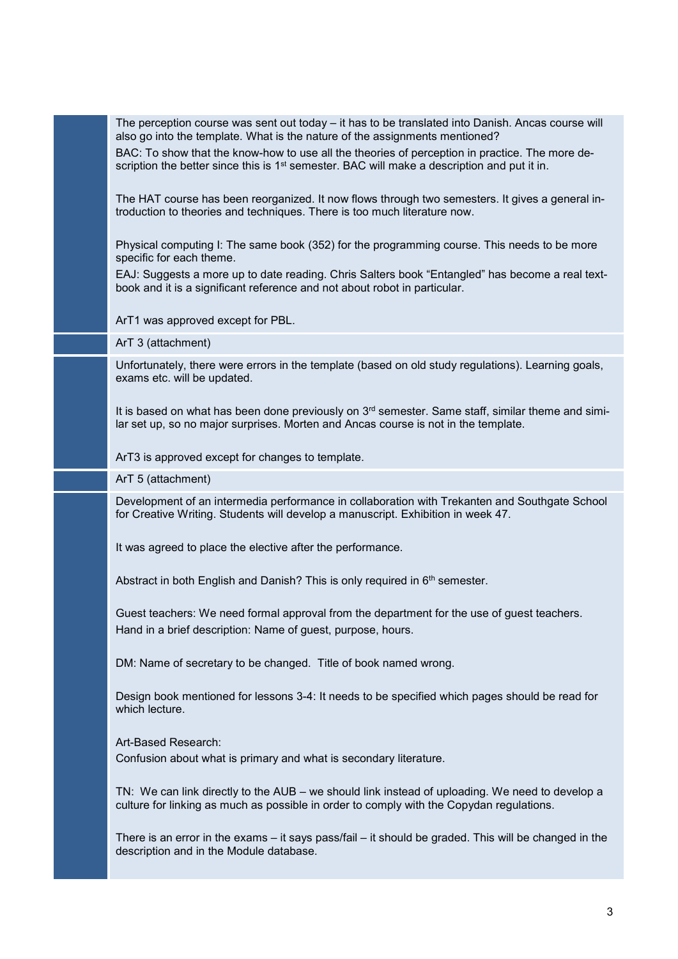The perception course was sent out today – it has to be translated into Danish. Ancas course will also go into the template. What is the nature of the assignments mentioned?

BAC: To show that the know-how to use all the theories of perception in practice. The more description the better since this is  $1<sup>st</sup>$  semester. BAC will make a description and put it in.

The HAT course has been reorganized. It now flows through two semesters. It gives a general introduction to theories and techniques. There is too much literature now.

Physical computing I: The same book (352) for the programming course. This needs to be more specific for each theme.

EAJ: Suggests a more up to date reading. Chris Salters book "Entangled" has become a real textbook and it is a significant reference and not about robot in particular.

ArT1 was approved except for PBL.

ArT 3 (attachment)

Unfortunately, there were errors in the template (based on old study regulations). Learning goals, exams etc. will be updated.

It is based on what has been done previously on  $3<sup>rd</sup>$  semester. Same staff, similar theme and similar set up, so no major surprises. Morten and Ancas course is not in the template.

ArT3 is approved except for changes to template.

ArT 5 (attachment)

Development of an intermedia performance in collaboration with Trekanten and Southgate School for Creative Writing. Students will develop a manuscript. Exhibition in week 47.

It was agreed to place the elective after the performance.

Abstract in both English and Danish? This is only required in 6<sup>th</sup> semester.

Guest teachers: We need formal approval from the department for the use of guest teachers. Hand in a brief description: Name of guest, purpose, hours.

DM: Name of secretary to be changed. Title of book named wrong.

Design book mentioned for lessons 3-4: It needs to be specified which pages should be read for which lecture.

Art-Based Research:

Confusion about what is primary and what is secondary literature.

TN: We can link directly to the AUB – we should link instead of uploading. We need to develop a culture for linking as much as possible in order to comply with the Copydan regulations.

There is an error in the exams – it says pass/fail – it should be graded. This will be changed in the description and in the Module database.